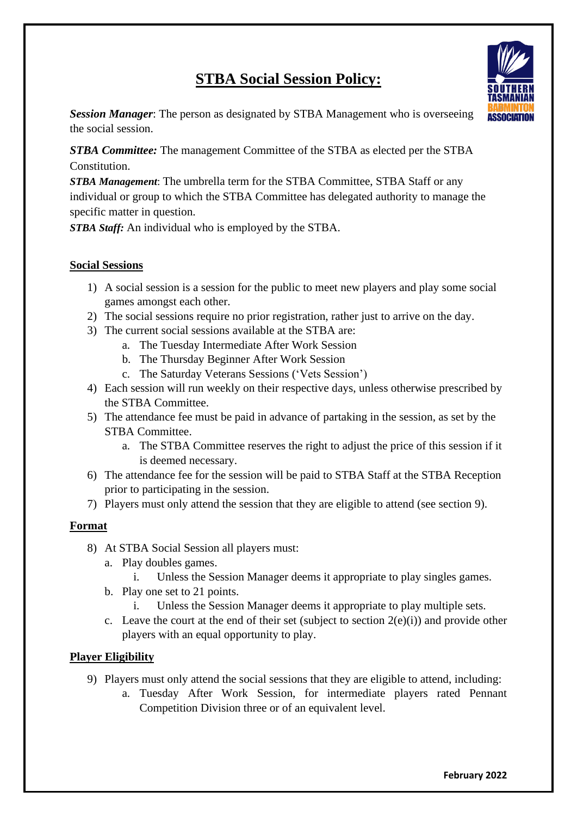# **STBA Social Session Policy:**



**Session Manager:** The person as designated by STBA Management who is overseeing **ASSOCIATION** the social session.

*STBA Committee:* The management Committee of the STBA as elected per the STBA Constitution.

*STBA Management*: The umbrella term for the STBA Committee, STBA Staff or any individual or group to which the STBA Committee has delegated authority to manage the specific matter in question.

*STBA Staff:* An individual who is employed by the STBA.

## **Social Sessions**

- 1) A social session is a session for the public to meet new players and play some social games amongst each other.
- 2) The social sessions require no prior registration, rather just to arrive on the day.
- 3) The current social sessions available at the STBA are:
	- a. The Tuesday Intermediate After Work Session
	- b. The Thursday Beginner After Work Session
	- c. The Saturday Veterans Sessions ('Vets Session')
- 4) Each session will run weekly on their respective days, unless otherwise prescribed by the STBA Committee.
- 5) The attendance fee must be paid in advance of partaking in the session, as set by the STBA Committee.
	- a. The STBA Committee reserves the right to adjust the price of this session if it is deemed necessary.
- 6) The attendance fee for the session will be paid to STBA Staff at the STBA Reception prior to participating in the session.
- 7) Players must only attend the session that they are eligible to attend (see section 9).

## **Format**

- 8) At STBA Social Session all players must:
	- a. Play doubles games.
		- i. Unless the Session Manager deems it appropriate to play singles games.
	- b. Play one set to 21 points.
		- i. Unless the Session Manager deems it appropriate to play multiple sets.
	- c. Leave the court at the end of their set (subject to section  $2(e)(i)$ ) and provide other players with an equal opportunity to play.

## **Player Eligibility**

- 9) Players must only attend the social sessions that they are eligible to attend, including:
	- a. Tuesday After Work Session, for intermediate players rated Pennant Competition Division three or of an equivalent level.